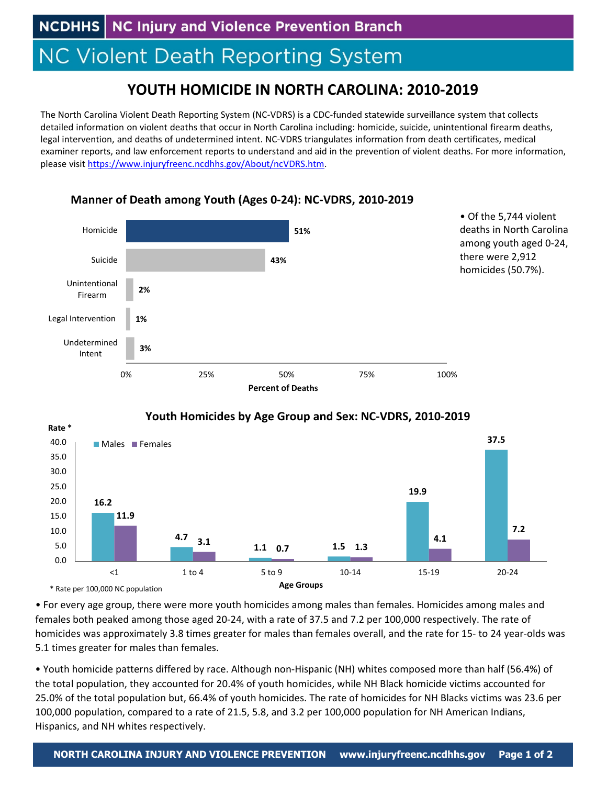**NC Injury and Violence Prevention Branch NCDHHS |** 

## **NC Violent Death Reporting System**

## **YOUTH HOMICIDE IN NORTH CAROLINA: 2010‐2019**

The North Carolina Violent Death Reporting System (NC‐VDRS) is a CDC‐funded statewide surveillance system that collects detailed information on violent deaths that occur in North Carolina including: homicide, suicide, unintentional firearm deaths, legal intervention, and deaths of undetermined intent. NC‐VDRS triangulates information from death certificates, medical examiner reports, and law enforcement reports to understand and aid in the prevention of violent deaths. For more information, please visit https://www.injuryfreenc.ncdhhs.gov/About/ncVDRS.htm.







• For every age group, there were more youth homicides among males than females. Homicides among males and females both peaked among those aged 20‐24, with a rate of 37.5 and 7.2 per 100,000 respectively. The rate of homicides was approximately 3.8 times greater for males than females overall, and the rate for 15- to 24 year-olds was 5.1 times greater for males than females.

• Youth homicide patterns differed by race. Although non‐Hispanic (NH) whites composed more than half (56.4%) of the total population, they accounted for 20.4% of youth homicides, while NH Black homicide victims accounted for 25.0% of the total population but, 66.4% of youth homicides. The rate of homicides for NH Blacks victims was 23.6 per 100,000 population, compared to a rate of 21.5, 5.8, and 3.2 per 100,000 population for NH American Indians, Hispanics, and NH whites respectively.